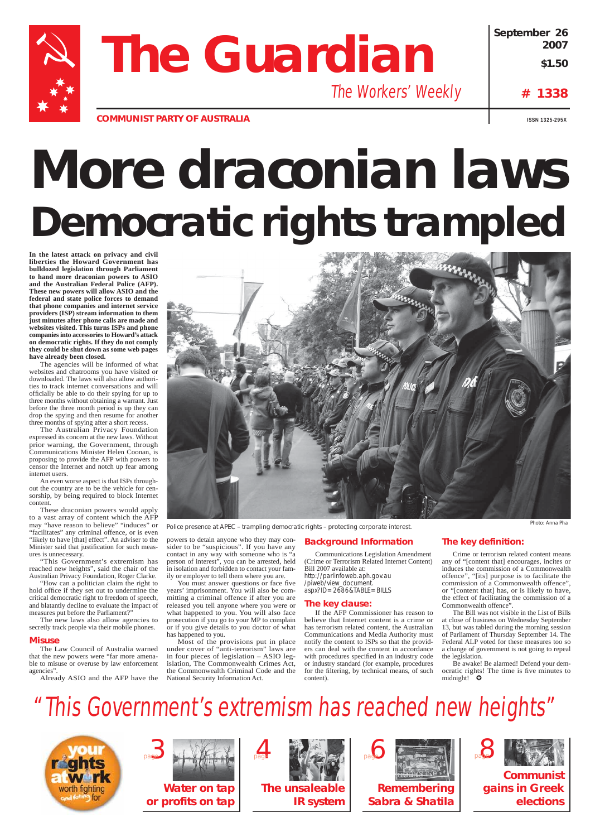

*The Guardian* **The Workers' Weekly** **September 26 2007 \$1.50**

**# 1338**

**COMMUNIST PARTY OF AUSTRALIA ISSN 1325-295X** 

**In the latest attack on privacy and civil liberties the Howard Government has bulldozed legislation through Parliament to hand more draconian powers to ASIO and the Australian Federal Police (AFP). These new powers will allow ASIO and the federal and state police forces to demand that phone companies and internet service providers (ISP) stream information to them just minutes after phone calls are made and websites visited. This turns ISPs and phone companies into accessories to Howard's attack on democratic rights. If they do not comply they could be shut down as some web pages have already been closed.** 

The agencies will be informed of what websites and chatrooms you have visited or downloaded. The laws will also allow authorities to track internet conversations and will officially be able to do their spying for up to three months without obtaining a warrant. Just before the three month period is up they can drop the spying and then resume for another three months of spying after a short recess.

The new laws also allow agencies to secretly track people via their mobile phones.

The Australian Privacy Foundation expressed its concern at the new laws. Without prior warning, the Government, through Communications Minister Helen Coonan, is proposing to provide the AFP with powers to censor the Internet and notch up fear among internet users.

> You must answer questions or face five years' imprisonment. You will also be committing a criminal offence if after you are released you tell anyone where you were or what happened to you. You will also face prosecution if you go to your MP to complain or if you give details to you doctor of what has happened to you.

An even worse aspect is that ISPs throughout the country are to be the vehicle for censorship, by being required to block Internet content.

> Most of the provisions put in place under cover of "anti-terrorism" laws are in four pieces of legislation – ASIO legislation, The Commonwealth Crimes Act, the Commonwealth Criminal Code and the National Security Information Act.

These draconian powers would apply to a vast array of content which the AFP may "have reason to believe" "induces" or "facilitates" any criminal offence, or is even "likely to have [that] effect". An adviser to the Minister said that justification for such measures is unnecessary.

"This Government's extremism has reached new heights", said the chair of the Australian Privacy Foundation, Roger Clarke.

"How can a politician claim the right to hold office if they set out to undermine the critical democratic right to freedom of speech, and blatantly decline to evaluate the impact of measures put before the Parliament?"

> Be awake! Be alarmed! Defend your democratic rights! The time is five minutes to midnight!  $\bullet$

### **Misuse**

The Law Council of Australia warned that the new powers were "far more amenable to misuse or overuse by law enforcement agencies".





Already ASIO and the AFP have the

the legislation.

powers to detain anyone who they may consider to be "suspicious". If you have any contact in any way with someone who is "a person of interest", you can be arrested, held in isolation and forbidden to contact your family or employer to tell them where you are.

## **Background Information**

Communications Legislation Amendment (Crime or Terrorism Related Internet Content) Bill 2007 available at: http://parlinfoweb.aph.gov.au

/piweb/view\_document. aspx?ID=2686&TABLE=BILLS

### **The key clause:**

If the AFP Commissioner has reason to believe that Internet content is a crime or has terrorism related content, the Australian Communications and Media Authority must notify the content to ISPs so that the providers can deal with the content in accordance with procedures specified in an industry code or industry standard (for example, procedures for the filtering, by technical means, of such content).

## **The key definition:**

Crime or terrorism related content means any of "[content that] encourages, incites or induces the commission of a Commonwealth offence", "[its] purpose is to facilitate the commission of a Commonwealth offence", or "[content that] has, or is likely to have, the effect of facilitating the commission of a Commonwealth offence".

The Bill was not visible in the List of Bills at close of business on Wednesday September 13, but was tabled during the morning session of Parliament of Thursday September 14. The Federal ALP voted for these measures too so a change of government is not going to repeal

# **More draconian laws Democratic rights trampled**

Police presence at APEC – trampling democratic rights – protecting corporate interest.

# **"This Government's extremism has reached new heights"**

Photo: Anna Pha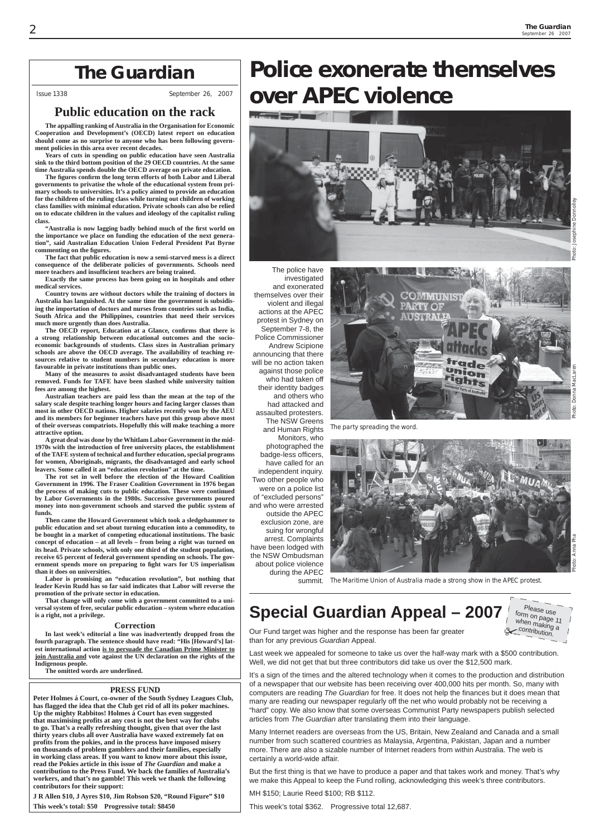# **The Guardian**

Issue 1338 September 26, 2007

# **Public education on the rack**

**The appalling ranking of Australia in the Organisation for Economic Cooperation and Development's (OECD) latest report on education should come as no surprise to anyone who has been following government policies in this area over recent decades.**

**Years of cuts in spending on public education have seen Australia sink to the third bottom position of the 29 OECD countries. At the same time Australia spends double the OECD average on private education.**

"Australia is now lagging badly behind much of the first world on **the importance we place on funding the education of the next generation", said Australian Education Union Federal President Pat Byrne commenting on the fi gures.**

**The fi gures confi rm the long term efforts of both Labor and Liberal governments to privatise the whole of the educational system from primary schools to universities. It's a policy aimed to provide an education for the children of the ruling class while turning out children of working class families with minimal education. Private schools can also be relied on to educate children in the values and ideology of the capitalist ruling class.**

The OECD report, Education at a Glance, confirms that there is **a strong relationship between educational outcomes and the socioeconomic backgrounds of students. Class sizes in Australian primary schools are above the OECD average. The availability of teaching resources relative to student numbers in secondary education is more favourable in private institutions than public ones.**

**The fact that public education is now a semi-starved mess is a direct consequence of the deliberate policies of governments. Schools need more teachers and insuffi cient teachers are being trained.**

**Exactly the same process has been going on in hospitals and other medical services.**

**Country towns are without doctors while the training of doctors in Australia has languished. At the same time the government is subsidising the importation of doctors and nurses from countries such as India, South Africa and the Philippines, countries that need their services much more urgently than does Australia.**

**Many of the measures to assist disadvantaged students have been removed. Funds for TAFE have been slashed while university tuition fees are among the highest.**

**Australian teachers are paid less than the mean at the top of the salary scale despite teaching longer hours and facing larger classes than most in other OECD nations. Higher salaries recently won by the AEU and its members for beginner teachers have put this group above most of their overseas compatriots. Hopefully this will make teaching a more attractive option.**

**A great deal was done by the Whitlam Labor Government in the mid-1970s with the introduction of free university places, the establishment of the TAFE system of technical and further education, special programs for women, Aboriginals, migrants, the disadvantaged and early school leavers. Some called it an "education revolution" at the time.**

**The rot set in well before the election of the Howard Coalition Government in 1996. The Fraser Coalition Government in 1976 began the process of making cuts to public education. These were continued by Labor Governments in the 1980s. Successive governments poured money into non-government schools and starved the public system of funds.**

**Then came the Howard Government which took a sledgehammer to public education and set about turning education into a commodity, to be bought in a market of competing educational institutions. The basic concept of education – at all levels – from being a right was turned on its head. Private schools, with only one third of the student population, receive 65 percent of federal government spending on schools. The gov**ernment spends more on preparing to fight wars for US imperialism **than it does on universities.**

> But the first thing is that we have to produce a paper and that takes work and money. That's why we make this Appeal to keep the Fund rolling, acknowledging this week's three contributors.

**Labor is promising an "education revolution", but nothing that leader Kevin Rudd has so far said indicates that Labor will reverse the promotion of the private sector in education.**

**That change will only come with a government committed to a universal system of free, secular public education – system where education is a right, not a privilege.**

#### **Correction**

**In last week's editorial a line was inadvertently dropped from the fourth paragraph. The sentence should have read: "His [Howard's] latest international action is to persuade the Canadian Prime Minister to join Australia and vote against the UN declaration on the rights of the Indigenous people.**

**The omitted words are underlined.**

### **PRESS FUND**

**Peter Holmes á Court, co-owner of the South Sydney Leagues Club, has flagged the idea that the Club get rid of all its poker machines. Up the mighty Rabbitos! Holmes á Court has even suggested that maximising profits at any cost is not the best way for clubs to go. That's a really refreshing thought, given that over the last thirty years clubs all over Australia have waxed extremely fat on profits from the pokies, and in the process have imposed misery on thousands of problem gamblers and their families, especially in working class areas. If you want to know more about this issue, read the Pokies article in this issue of** *The Guardian* **and make a contribution to the Press Fund. We back the families of Australia's workers, and that's no gamble! This week we thank the following contributors for their support:**

**J R Allen \$10, J Ayres \$10, Jim Robson \$20, "Round Figure" \$10 This week's total: \$50 Progressive total: \$8450**

and Human Rights





The party spreading the word.

# **Police exonerate themselves over APEC violence**

**Special Guardian Appeal – 2007**

Our Fund target was higher and the response has been far greater than for any previous *Guardian* Appeal.

Last week we appealed for someone to take us over the half-way mark with a \$500 contribution.

Well, we did not get that but three contributors did take us over the \$12,500 mark.



It's a sign of the times and the altered technology when it comes to the production and distribution of a newspaper that our website has been receiving over 400,000 hits per month. So, many with computers are reading *The Guardian* for free. It does not help the finances but it does mean that many are reading our newspaper regularly off the net who would probably not be receiving a "hard" copy. We also know that some overseas Communist Party newspapers publish selected articles from *The Guardian* after translating them into their language.

Many Internet readers are overseas from the US, Britain, New Zealand and Canada and a small number from such scattered countries as Malaysia, Argentina, Pakistan, Japan and a number more. There are also a sizable number of Internet readers from within Australia. The web is certainly a world-wide affair.

MH \$150; Laurie Reed \$100; RB \$112.

This week's total \$362. Progressive total 12,687.

Photo: Josephine Donnolley

Photo: Donna MacLaren

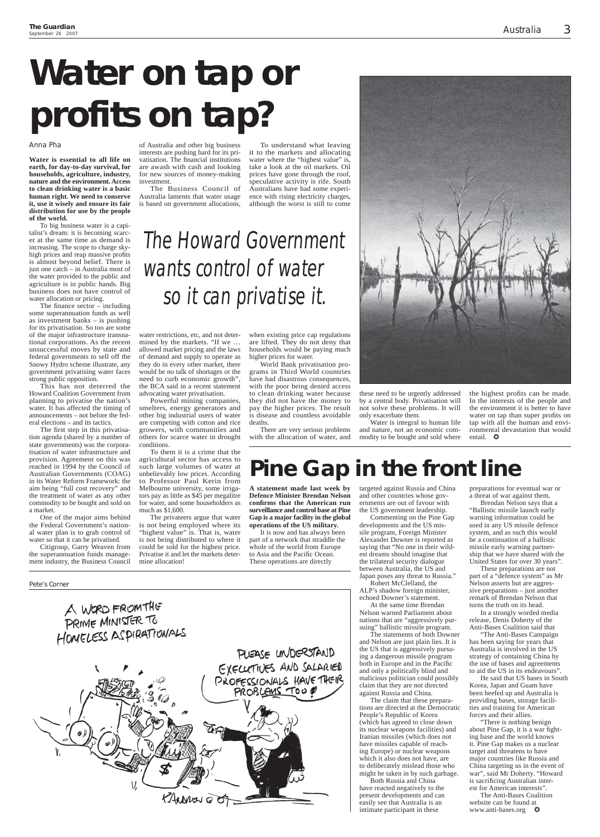#### Anna Pha

**Water is essential to all life on earth, for day-to-day survival, for households, agriculture, industry, nature and the environment. Access to clean drinking water is a basic human right. We need to conserve it, use it wisely and ensure its fair distribution for use by the people of the world.**

To big business water is a capitalist's dream: it is becoming scarcer at the same time as demand is increasing. The scope to charge skyhigh prices and reap massive profits is almost beyond belief. There is just one catch – in Australia most of the water provided to the public and agriculture is in public hands. Big business does not have control of water allocation or pricing.

The finance sector  $-$  including some superannuation funds as well as investment banks – is pushing for its privatisation. So too are some of the major infrastructure transnational corporations. As the recent unsuccessful moves by state and federal governments to sell off the Snowy Hydro scheme illustrate, any government privatising water faces strong public opposition.

This has not deterred the Howard Coalition Government from planning to privatise the nation's water. It has affected the timing of announcements – not before the federal elections – and its tactics.

The first step in this privatisation agenda (shared by a number of state governments) was the corporatisation of water infrastructure and provision. Agreement on this was reached in 1994 by the Council of Australian Governments (COAG) in its Water Reform Framework: the aim being "full cost recovery" and the treatment of water as any other commodity to be bought and sold on a market.

One of the major aims behind the Federal Government's national water plan is to grab control of water so that it can be privatised.

Citigroup, Garry Weaven from the superannuation funds management industry, the Business Council of Australia and other big business interests are pushing hard for its privatisation. The financial institutions are awash with cash and looking for new sources of money-making investment.

The Business Council of Australia laments that water usage is based on government allocations,

water restrictions, etc, and not determined by the markets. "If we … allowed market pricing and the laws of demand and supply to operate as they do in every other market, there would be no talk of shortages or the need to curb economic growth", the BCA said in a recent statement advocating water privatisation.

Powerful mining companies, smelters, energy generators and other big industrial users of water are competing with cotton and rice growers, with communities and others for scarce water in drought conditions.

To them it is a crime that the agricultural sector has access to such large volumes of water at unbelievably low prices. According to Professor Paul Kerin from Melbourne university, some irrigators pay as little as \$45 per megalitre for water, and some householders as much as \$1,600.

The privateers argue that water is not being employed where its "highest value" is. That is, water is not being distributed to where it could be sold for the highest price. Privatise it and let the markets determine allocation!

To understand what leaving it to the markets and allocating water where the "highest value" is, take a look at the oil markets. Oil prices have gone through the roof, speculative activity is rife. South Australians have had some experience with rising electricity charges, although the worst is still to come

when existing price cap regulations are lifted. They do not deny that households would be paying much higher prices for water.

> The Anti-Bases Coalition website can be found at www.anti-bases.org **C**

World Bank privatisation programs in Third World countries have had disastrous consequences, with the poor being denied access to clean drinking water because they did not have the money to pay the higher prices. The result is disease and countless avoidable deaths.

There are very serious problems with the allocation of water, and



these need to be urgently addressed by a central body. Privatisation will not solve these problems. It will only exacerbate them.

Water is integral to human life and nature, not an economic commodity to be bought and sold where

the highest profits can be made. In the interests of the people and the environment it is better to have water on tap than super profits on tap with all the human and environmental devastation that would entail. **O** 

# **Water on tap or profits on tap?**

# **Pine Gap in the front line**

**A statement made last week by Defence Minister Brendan Nelson confi rms that the American run surveillance and control base at Pine Gap is a major facility in the global operations of the US military.**

It is now and has always been part of a network that straddle the whole of the world from Europe to Asia and the Pacific Ocean. These operations are directly

targeted against Russia and China and other countries whose governments are out of favour with the US government leadership.

Commenting on the Pine Gap developments and the US missile program, Foreign Minister Alexander Downer is reported as saying that "No one in their wildest dreams should imagine that the trilateral security dialogue between Australia, the US and Japan poses any threat to Russia."

Robert McClelland, the ALP's shadow foreign minister, echoed Downer's statement.

At the same time Brendan Nelson warned Parliament about nations that are "aggressively pursuing" ballistic missile program.

The statements of both Downer and Nelson are just plain lies. It is the US that is aggressively pursuing a dangerous missile program both in Europe and in the Pacific and only a politically blind and malicious politician could possibly claim that they are not directed against Russia and China. The claim that these preparations are directed at the Democratic People's Republic of Korea (which has agreed to close down its nuclear weapons facilities) and Iranian missiles (which does not have missiles capable of reaching Europe) or nuclear weapons which it also does not have, are to deliberately mislead those who might be taken in by such garbage. Both Russia and China have reacted negatively to the present developments and can easily see that Australia is an intimate participant in these

preparations for eventual war or a threat of war against them.

Brendan Nelson says that a "Ballistic missile launch early warning information could be used in any US missile defence system, and as such this would be a continuation of a ballistic missile early warning partnership that we have shared with the United States for over 30 years".

These preparations are not part of a "defence system" as Mr Nelson asserts but are aggressive preparations – just another remark of Brendan Nelson that turns the truth on its head.

In a strongly worded media release, Denis Doherty of the Anti-Bases Coalition said that

"The Anti-Bases Campaign has been saying for years that Australia is involved in the US strategy of containing China by the use of bases and agreements to aid the US in its endeavours".

A WORD FROM THE HOMELESS ASPIRATIONALS

# PLEASE UNDERSTAND



He said that US bases in South Korea, Japan and Guam have been beefed up and Australia is providing bases, storage facilities and training for American forces and their allies.

"There is nothing benign about Pine Gap, it is a war fighting base and the world knows it. Pine Gap makes us a nuclear target and threatens to have major countries like Russia and China targeting us in the event of war", said Mr Doherty. "Howard is sacrificing Australian interest for American interests".

Pete's Corner

# **The Howard Government wants control of water so it can privatise it.**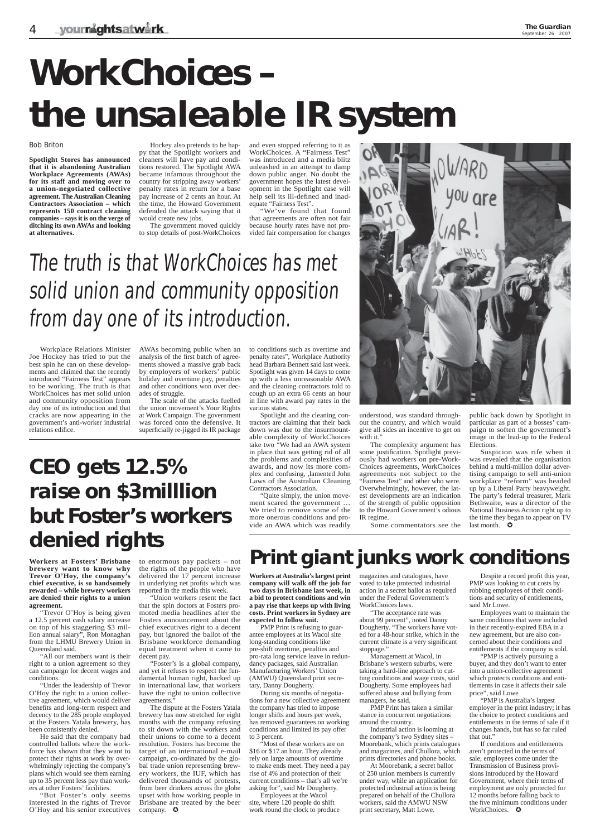#### Bob Briton

Workplace Relations Minister Joe Hockey has tried to put the best spin he can on these developments and claimed that the recently introduced "Fairness Test" appears to be working. The truth is that WorkChoices has met solid union and community opposition from day one of its introduction and that cracks are now appearing in the government's anti-worker industrial relations edifice.

**Spotlight Stores has announced that it is abandoning Australian Workplace Agreements (AWAs) for its staff and moving over to a union-negotiated collective agreement. The Australian Cleaning Contractors Association – which represents 150 contract cleaning companies – says it is on the verge of ditching its own AWAs and looking at alternatives.**

> The scale of the attacks fuelled the union movement's Your Rights at Work Campaign. The government was forced onto the defensive. It superficially re-jigged its IR package

> Hockey also pretends to be happy that the Spotlight workers and cleaners will have pay and conditions restored. The Spotlight AWA became infamous throughout the country for stripping away workers' penalty rates in return for a base pay increase of 2 cents an hour. At the time, the Howard Government defended the attack saying that it would create new jobs.

The government moved quickly to stop details of post-WorkChoices

AWAs becoming public when an analysis of the first batch of agreements showed a massive grab back by employers of workers' public holiday and overtime pay, penalties and other conditions won over decades of struggle.

> understood, was standard throughout the country, and which would give all sides an incentive to get on with it."

> > was revealed that the organisation behind a multi-million dollar advertising campaign to sell anti-union workplace "reform" was headed up by a Liberal Party heavyweight. The party's federal treasurer, Mark Bethwaite, was a director of the National Business Action right up to the time they began to appear on TV last month.  $\bullet$

and even stopped referring to it as WorkChoices. A "Fairness Test" was introduced and a media blitz unleashed in an attempt to damp down public anger. No doubt the government hopes the latest development in the Spotlight case will help sell its ill-defined and inadequate "Fairness Test". "We've found that found

that agreements are often not fair because hourly rates have not provided fair compensation for changes

"Trevor O'Hoy is being given a 12.5 percent cash salary increase on top of his staggering \$3 million annual salary", Ron Monaghan from the LHMU Brewery Union in Queensland said.

to conditions such as overtime and penalty rates", Workplace Authority head Barbara Bennett said last week. Spotlight was given 14 days to come up with a less unreasonable AWA and the cleaning contractors told to cough up an extra 66 cents an hour in line with award pay rates in the various states.

Spotlight and the cleaning contractors are claiming that their back down was due to the insurmountable complexity of WorkChoices take two "We had an AWA system in place that was getting rid of all the problems and complexities of awards, and now its more complex and confusing, ,lamented John Laws of the Australian Cleaning Contractors Association.

"Quite simply, the union movement scared the government … We tried to remove some of the more onerous conditions and provide an AWA which was readily



The dispute at the Fosters Yatala brewery has now stretched for eight months with the company refusing to sit down with the workers and their unions to come to a decent resolution. Fosters has become the target of an international e-mail campaign, co-ordinated by the global trade union representing brewery workers, the IUF, which has delivered thousands of protests, from beer drinkers across the globe upset with how working people in Brisbane are treated by the beer company.  $\bullet$ 

The complexity argument has some justification. Spotlight previously had workers on pre-Work-Choices agreements, WorkChoices agreements not subject to the "Fairness Test" and other who were. Overwhelmingly, however, the latest developments are an indication of the strength of public opposition to the Howard Government's odious IR regime.

Some commentators see the

public back down by Spotlight in

particular as part of a bosses' campaign to soften the government's image in the lead-up to the Federal Elections. Suspicion was rife when it

# **WorkChoices – the unsaleable IR system**

# **CEO gets 12.5% raise on \$3milllion but Foster's workers denied rights**

**Workers at Fosters' Brisbane brewery want to know why Trevor O'Hoy, the company's chief executive, is so handsomely rewarded – while brewery workers are denied their rights to a union agreement.**

Despite a record profit this year, PMP was looking to cut costs by robbing employees of their conditions and security of entitlements, said Mr Lowe.

"All our members want is their

right to a union agreement so they can campaign for decent wages and conditions.

> If conditions and entitlements aren't protected in the terms of sale, employees come under the Transmission of Business provisions introduced by the Howard Government, where their terms of employment are only protected for 12 months before falling back to the five minimum conditions under WorkChoices.  $\bullet$

"Under the leadership of Trevor O'Hoy the right to a union collective agreement, which would deliver benefits and long-term respect and decency to the 285 people employed at the Fosters Yatala brewery, has been consistently denied.

He said that the company had controlled ballots where the workforce has shown that they want to protect their rights at work by overwhelmingly rejecting the company's plans which would see them earning up to 35 percent less pay than workers at other Fosters' facilities.

"But Foster's only seems interested in the rights of Trevor O'Hoy and his senior executives

to enormous pay packets – not the rights of the people who have delivered the 17 percent increase in underlying net profits which was reported in the media this week.

"Union workers resent the fact that the spin doctors at Fosters promoted media headlines after the Fosters announcement about the chief executives right to a decent pay, but ignored the ballot of the Brisbane workforce demanding equal treatment when it came to

decent pay.

"Foster's is a global company, and yet it refuses to respect the fundamental human right, backed up in international law, that workers have the right to union collective agreements."

**Workers at Australia's largest print company will walk off the job for two days in Brisbane last week, in a bid to protect conditions and win a pay rise that keeps up with living costs. Print workers in Sydney are expected to follow suit.**

PMP Print is refusing to guarantee employees at its Wacol site long-standing conditions like pre-shift overtime, penalties and ro-rata long service leave in red dancy packages, said Australian Manufacturing Workers' Union (AMWU) Queensland print secretary, Danny Dougherty. During six months of negotiations for a new collective agreement the company has tried to impose longer shifts and hours per week, has removed guarantees on working conditions and limited its pay offer to 3 percent. "Most of these workers are on \$16 or \$17 an hour. They already rely on large amounts of overtime to make ends meet. They need a pay rise of 4% and protection of their current conditions – that's all we're asking for", said Mr Dougherty.

Employees at the Wacol site, where 120 people do shift work round the clock to produce magazines and catalogues, have voted to take protected industrial action in a secret ballot as required under the Federal Government's WorkChoices laws.

"The acceptance rate was about 99 percent", noted Danny Dougherty. "The workers have voted for a 48-hour strike, which in the current climate is a very significant stoppage."

Management at Wacol, in

Brisbane's western suburbs, were taking a hard-line approach to cutting conditions and wage costs, said Dougherty. Some employees had suffered abuse and bullying from managers, he said.

PMP Print has taken a similar stance in concurrent negotiations around the country.

Industrial action is looming at the company's two Sydney sites – Moorebank, which prints catalogues and magazines, and Chullora, which prints directories and phone books.

At Moorebank, a secret ballot of 250 union members is currently under way, while an application for protected industrial action is being prepared on behalf of the Chullora workers, said the AMWU NSW print secretary, Matt Lowe.

Employees want to maintain the same conditions that were included in their recently-expired EBA in a new agreement, but are also concerned about their conditions and entitlements if the company is sold.

"PMP is actively pursuing a

buyer, and they don't want to enter into a union-collective agreement which protects conditions and entitlements in case it affects their sale price", said Lowe

"PMP is Australia's largest employer in the print industry; it has the choice to protect conditions and entitlements in the terms of sale if it changes hands, but has so far ruled that out."

# **Print giant junks work conditions**

# **The truth is that WorkChoices has met solid union and community opposition from day one of its introduction.**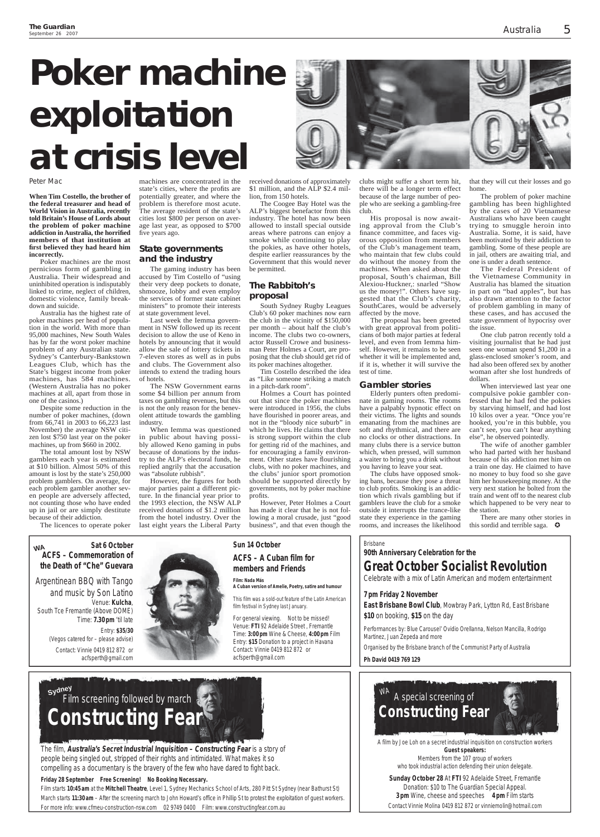### Peter Mac

**When Tim Costello, the brother of the federal treasurer and head of World Vision in Australia, recently told Britain's House of Lords about the problem of poker machine addiction in Australia, the horrifi ed members of that institution at fi rst believed they had heard him incorrectly.**

Poker machines are the most pernicious form of gambling in Australia. Their widespread and uninhibited operation is indisputably linked to crime, neglect of children, domestic violence, family breakdown and suicide.

Despite some reduction in the number of poker machines, (down from  $66,741$  in 2003 to  $66,223$  last November) the average NSW citizen lost \$750 last year on the poker machines, up from \$660 in 2002.

Australia has the highest rate of poker machines per head of population in the world. With more than 95,000 machines, New South Wales has by far the worst poker machine problem of any Australian state. Sydney's Canterbury-Bankstown Leagues Club, which has the State's biggest income from poker machines, has 584 machines. (Western Australia has no poker machines at all, apart from those in one of the casinos.)

machines are concentrated in the state's cities, where the profits are potentially greater, and where the problem is therefore most acute. The average resident of the state's cities lost \$800 per person on average last year, as opposed to \$700 five years ago.

The total amount lost by NSW gamblers each year is estimated at \$10 billion. Almost 50% of this amount is lost by the state's 250,000 problem gamblers. On average, for each problem gambler another seven people are adversely affected, not counting those who have ended up in jail or are simply destitute because of their addiction.

However, the figures for both major parties paint a different picture. In the financial year prior to the 1993 election, the NSW ALP received donations of \$1.2 million from the hotel industry. Over the last eight years the Liberal Party

The licences to operate poker

## **State governments and the industry**

Holmes a Court has pointed out that since the poker machines were introduced in 1956, the clubs have flourished in poorer areas, and not in the "bloody nice suburb" in which he lives. He claims that there is strong support within the club for getting rid of the machines, and for encouraging a family environment. Other states have flourishing clubs, with no poker machines, and the clubs' junior sport promotion should be supported directly by governments, not by poker machine profits.

The gaming industry has been accused by Tim Costello of "using their very deep pockets to donate, shmooze, lobby and even employ the services of former state cabinet ministers" to promote their interests at state government level.

Last week the Iemma government in NSW followed up its recent decision to allow the use of Keno in hotels by announcing that it would allow the sale of lottery tickets in 7-eleven stores as well as in pubs and clubs. The Government also intends to extend the trading hours of hotels.

The NSW Government earns some \$4 billion per annum from taxes on gambling revenues, but this is not the only reason for the benevolent attitude towards the gambling industry.

When Iemma was questioned in public about having possibly allowed Keno gaming in pubs because of donations by the industry to the ALP's electoral funds, he replied angrily that the accusation was "absolute rubbish".

received donations of approximately \$1 million, and the ALP \$2.4 million, from 150 hotels.

The Coogee Bay Hotel was the ALP's biggest benefactor from this industry. The hotel has now been allowed to install special outside areas where patrons can enjoy a smoke while continuing to play the pokies, as have other hotels, despite earlier reassurances by the Government that this would never be permitted.

## **The Rabbitoh's proposal**

South Sydney Rugby Leagues Club's 60 poker machines now earn the club in the vicinity of \$150,000 per month – about half the club's income. The clubs two co-owners, actor Russell Crowe and businessman Peter Holmes a Court, are proposing that the club should get rid of its poker machines altogether.

> There are many other stories in this sordid and terrible saga.  $\bullet$

Tim Costello described the idea as "Like someone striking a match in a pitch-dark room".

However, Peter Holmes a Court has made it clear that he is not following a moral crusade, just "good business", and that even though the clubs might suffer a short term hit, there will be a longer term effect because of the large number of people who are seeking a gambling-free club.

His proposal is now awaiting approval from the Club's finance committee, and faces vigorous opposition from members of the Club's management team, who maintain that few clubs could do without the money from the machines. When asked about the proposal, South's chairman, Bill Alexiou-Huckner,: snarled "Show us the money!". Others have suggested that the Club's charity, SouthCares, would be adversely affected by the move.

The proposal has been greeted with great approval from politicians of both major parties at federal level, and even from Iemma himself. However, it remains to be seen whether it will be implemented and, if it is, whether it will survive the test of time.

### **Gambler stories**

Elderly punters often predominate in gaming rooms. The rooms have a palpably hypnotic effect on their victims. The lights and sounds emanating from the machines are soft and rhythmical, and there are no clocks or other distractions. In many clubs there is a service button which, when pressed, will summon a waiter to bring you a drink without you having to leave your seat.

The clubs have opposed smoking bans, because they pose a threat to club profits. Smoking is an addiction which rivals gambling but if gamblers leave the club for a smoke outside it interrupts the trance-like state they experience in the gaming rooms, and increases the likelihood

that they will cut their losses and go home.

The problem of poker machine gambling has been highlighted by the cases of 20 Vietnamese Australians who have been caught trying to smuggle heroin into Australia. Some, it is said, have been motivated by their addiction to gambling. Some of these people are in jail, others are awaiting trial, and one is under a death sentence.

The Federal President of the Vietnamese Community in Australia has blamed the situation in part on "bad apples", but has also drawn attention to the factor of problem gambling in many of these cases, and has accused the state government of hypocrisy over the issue.

One club patron recently told a visiting journalist that he had just seen one woman spend \$1,200 in a glass-enclosed smoker's room, and had also been offered sex by another woman after she lost hundreds of dollars.

When interviewed last year one compulsive pokie gambler confessed that he had fed the pokies by starving himself, and had lost 10 kilos over a year. "Once you're hooked, you're in this bubble, you can't see, you can't hear anything else", he observed pointedly.

The wife of another gambler who had parted with her husband because of his addiction met him on a train one day. He claimed to have no money to buy food so she gave him her housekeeping money. At the very next station he bolted from the train and went off to the nearest club which happened to be very near to the station.

# **Poker machine exploitation at crisis level**



acfsperth@gmail.com







acfsperth@gmail.com

#### **Ph David 0419 769 129**

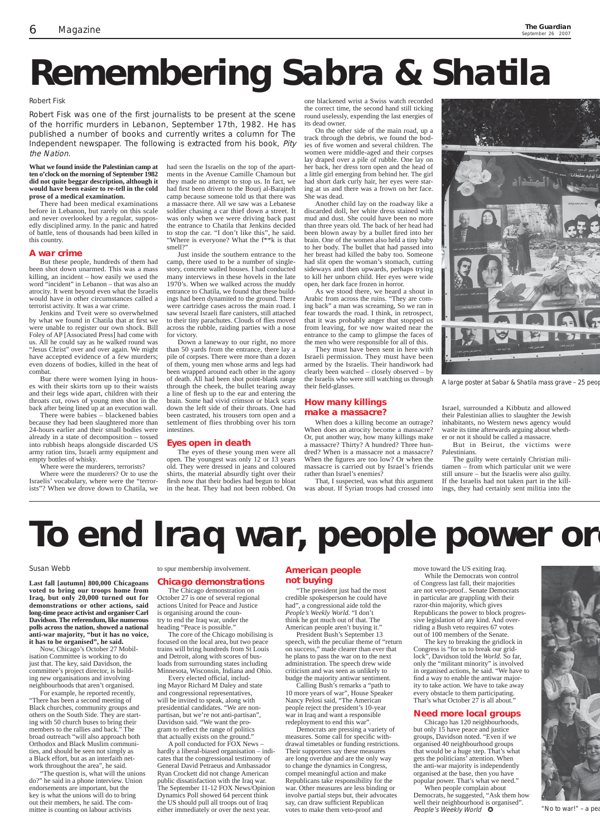**What we found inside the Palestinian camp at ten o'clock on the morning of September 1982 did not quite beggar description, although it would have been easier to re-tell in the cold prose of a medical examination.**

There had been medical examinations before in Lebanon, but rarely on this scale and never overlooked by a regular, supposedly disciplined army. In the panic and hatred of battle, tens of thousands had been killed in this country.

#### **A war crime**

But these people, hundreds of them had been shot down unarmed. This was a mass killing, an incident – how easily we used the word "incident" in Lebanon – that was also an atrocity. It went beyond even what the Israelis would have in other circumstances called a terrorist activity. It was a war crime.

Jenkins and Tveit were so overwhelmed by what we found in Chatila that at first we were unable to register our own shock. Bill Foley of AP [Associated Press] had come with us. All he could say as he walked round was "Jesus Christ" over and over again. We might have accepted evidence of a few murders; even dozens of bodies, killed in the heat of combat.

Bur there were women lying in houses with their skirts torn up to their waists and their legs wide apart, children with their throats cut, rows of young men shot in the back after being lined up at an execution wall.

There were babies – blackened babies because they had been slaughtered more than 24-hours earlier and their small bodies were already in a state of decomposition – tossed into rubbish heaps alongside discarded US army ration tins, Israeli army equipment and empty bottles of whisky.

Where were the murderers, terrorists?

Where were the murderers? Or to use the Israelis' vocabulary, where were the "terrorists"? When we drove down to Chatila, we

had seen the Israelis on the top of the apartments in the Avenue Camille Chamoun but they made no attempt to stop us. In fact, we had first been driven to the Bourj al-Barajneh camp because someone told us that there was a massacre there. All we saw was a Lebanese soldier chasing a car thief down a street. It was only when we were driving back past the entrance to Chatila that Jenkins decided to stop the car. "I don't like this", he said. "Where is everyone? What the f\*\*k is that smell?"

> They must have been sent in here with Israeli permission. They must have been armed by the Israelis. Their handiwork had clearly been watched – closely observed – by the Israelis who were still watching us through their field-glasses.

Just inside the southern entrance to the camp, there used to be a number of singlestory, concrete walled houses. I had conducted many interviews in these hovels in the late 1970's. When we walked across the muddy entrance to Chatila, we found that these buildings had been dynamited to the ground. There were cartridge cases across the main road. I saw several Israeli flare canisters, still attached to their tiny parachutes. Clouds of flies moved across the rubble, raiding parties with a nose for victory.

Down a laneway to our right, no more than 50 yards from the entrance, there lay a pile of corpses. There were more than a dozen of them, young men whose arms and legs had been wrapped around each other in the agony of death. All had been shot point-blank range through the cheek, the bullet tearing away a line of flesh up to the ear and entering the brain. Some had vivid crimson or black scars down the left side of their throats. One had been castrated, his trousers torn open and a settlement of flies throbbing over his torn intestines.

### **Eyes open in death**

The eyes of these young men were all open. The youngest was only 12 or 13 years old. They were dressed in jeans and coloured shirts, the material absurdly tight over their flesh now that their bodies had begun to bloat in the heat. They had not been robbed. On one blackened wrist a Swiss watch recorded the correct time, the second hand still ticking round uselessly, expending the last energies of its dead owner.

On the other side of the main road, up a track through the debris, we found the bodies of five women and several children. The women were middle-aged and their corpses lay draped over a pile of rubble. One lay on her back, her dress torn open and the head of a little girl emerging from behind her. The girl had short dark curly hair, her eyes were staring at us and there was a frown on her face. She was dead.

Every elected official, including Mayor Richard M Daley and state and congressional representatives, will be invited to speak, along with presidential candidates. "We are nonpartisan, but we're not anti-partisan", Davidson said. "We want the program to reflect the range of politics that actually exists on the ground."

Another child lay on the roadway like a discarded doll, her white dress stained with mud and dust. She could have been no more than three years old. The back of her head had been blown away by a bullet fired into her brain. One of the women also held a tiny baby to her body. The bullet that had passed into her breast had killed the baby too. Someone had slit open the woman's stomach, cutting sideways and then upwards, perhaps trying to kill her unborn child. Her eyes were wide open, her dark face frozen in horror.

As we stood there, we heard a shout in Arabic from across the ruins. "They are coming back" a man was screaming, So we ran in fear towards the road. I think, in retrospect, that it was probably anger that stopped us from leaving, for we now waited near the entrance to the camp to glimpse the faces of the men who were responsible for all of this.

> The key to breaking the gridlock in Congress is "for us to break our grid-, Davidson told the *World*. So far



## **How many killings make a massacre?**

only the "militant minority" is involved in organised actions, he said. "We have to find a way to enable the antiwar majority to take action. We have to take away every obstacle to them participating. That's what October 27 is all about."

When does a killing become an outrage? When does an atrocity become a massacre? Or, put another way, how many killings make a massacre? Thirty? A hundred? Three hundred? When is a massacre not a massacre? When the figures are too low? Or when the massacre is carried out by Israel's friends rather than Israel's enemies?

> When people complain about Democrats, he suggested, "Ask them how well their neighbourhood is organised". People's Weekly World  $\Omega$



"No to war!" - a pea

That, I suspected, was what this argument was about. If Syrian troops had crossed into



Israel, surrounded a Kibbutz and allowed their Palestinian allies to slaughter the Jewish inhabitants, no Western news agency would waste its time afterwards arguing about whether or not it should be called a massacre.

But in Beirut, the victims were Palestinians.

The guilty were certainly Christian militiamen – from which particular unit we were still unsure – but the Israelis were also guilty. If the Israelis had not taken part in the killings, they had certainly sent militia into the

# **Remembering Sabra & Shatila**

A large poster at Sabar & Shatila mass grave – 25 peop

#### Robert Fisk

Robert Fisk was one of the first journalists to be present at the scene of the horrific murders in Lebanon, September 17th, 1982. He has published a number of books and currently writes a column for The Independent newspaper. The following is extracted from his book, Pity the Nation.

### Susan Webb

**Last fall [autumn] 800,000 Chicagoans voted to bring our troops home from Iraq, but only 20,000 turned out for demonstrations or other actions, said long-time peace activist and organiser Carl Davidson. The referendum, like numerous polls across the nation, showed a national anti-war majority, "but it has no voice, it has to be organised", he said.**

Now, Chicago's October 27 Mobilisation Committee is working to do just that. The key, said Davidson, the committee's project director, is building new organisations and involving neighbourhoods that aren't organised. For example, he reported recently, "There has been a second meeting of Black churches, community groups and others on the South Side. They are starting with 50 church buses to bring their members to the rallies and back." The broad outreach "will also approach both Orthodox and Black Muslim communities, and should be seen not simply as a Black effort, but as an interfaith network throughout the area", he said. "The question is, what will the unions do?" he said in a phone interview. Union endorsements are important, but the key is what the unions will do to bring out their members, he said. The committee is counting on labour activists

to spur membership involvement.

## **Chicago demonstrations**

The Chicago demonstration on October 27 is one of several regional actions United for Peace and Justice is organising around the country to end the Iraq war, under the heading "Peace is possible."

The core of the Chicago mobilising is focused on the local area, but two peace trains will bring hundreds from St Louis and Detroit, along with scores of busloads from surrounding states including Minnesota, Wisconsin, Indiana and Ohio.

A poll conducted for FOX News – hardly a liberal-biased organisation – indicates that the congressional testimony of General David Petraeus and Ambassador Ryan Crockett did not change American public dissatisfaction with the Iraq war. The September 11-12 FOX News/Opinion Dynamics Poll showed 64 percent think the US should pull all troops out of Iraq either immediately or over the next year.

## **American people not buying**

"The president just had the most credible spokesperson he could have had", a congressional aide told the *People's Weekly World*. "I don't think he got much out of that. The American people aren't buying it."

President Bush's September 13 speech, with the peculiar theme of "return on success," made clearer than ever that he plans to pass the war on to the next administration. The speech drew wide criticism and was seen as unlikely to budge the majority antiwar sentiment. Calling Bush's remarks a "path to 10 more years of war", House Speaker Nancy Pelosi said, "The American people reject the president's 10-year war in Iraq and want a responsible redeployment to end this war". Democrats are pressing a variety of measures. Some call for specific withdrawal timetables or funding restrictions. Their supporters say these measures are long overdue and are the only way to change the dynamics in Congress, compel meaningful action and make Republicans take responsibility for the war. Other measures are less binding or involve partial steps but, their advocates say, can draw sufficient Republican votes to make them veto-proof and

move toward the US exiting Iraq. While the Democrats won control of Congress last fall, their majorities are not veto-proof.. Senate Democrats in particular are grappling with their razor-thin majority, which gives Republicans the power to block progressive legislation of any kind. And overriding a Bush veto requires 67 votes out of 100 members of the Senate.

### **Need more local groups**

Chicago has 120 neighbourhoods, but only 15 have peace and justice groups, Davidson noted. "Even if we organised 40 neighbourhood groups that would be a huge step. That's what gets the politicians' attention. When the anti-war majority is independently organised at the base, then you have popular power. That's what we need."

# **To end Iraq war, people power org**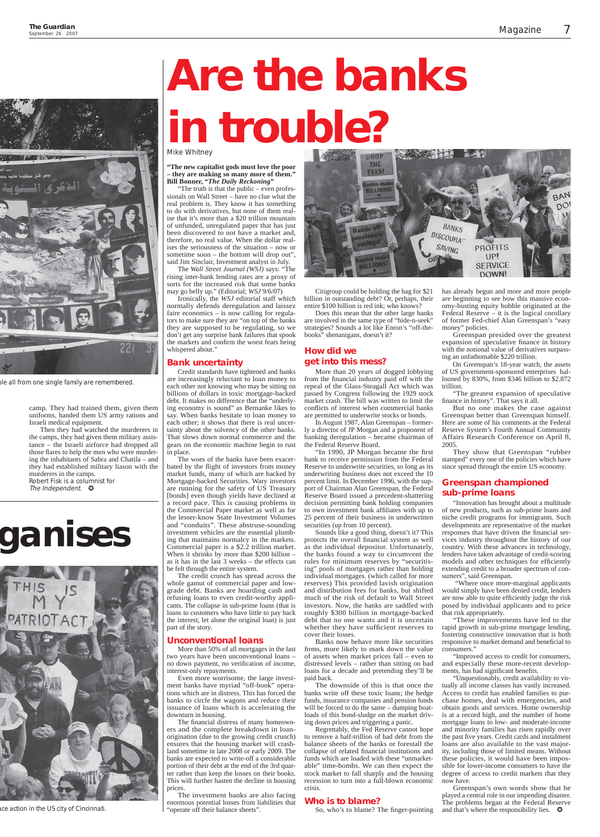

camp. They had trained them, given them uniforms, handed them US army rations and Israeli medical equipment.

Robert Fisk is a columnist for The Independent.  $\bullet$ 

Then they had watched the murderers in the camps, they had given them military assistance – the Israeli airforce had dropped all those flares to help the men who were murdering the inhabitants of Sabra and Chatila – and they had established military liason with the murderers in the camps.

ple all from one single family are remembered.

Mike Whitney

**"The new capitalist gods must love the poor – they are making so many more of them." Bill Bonner, "***The Daily Reckoning***"**

"The truth is that the public – even professionals on Wall Street – have no clue what the real problem is. They know it has something to do with derivatives, but none of them realise that it's more than a \$20 trillion mountain of unfunded, unregulated paper that has just been discovered to not have a market and, therefore, no real value. When the dollar realises the seriousness of the situation – now or sometime soon – the bottom will drop out", said Jim Sinclair, Investment analyst in July.

The *Wall Street Journal (WSJ)* says: "The rising inter-bank lending rates are a proxy of sorts for the increased risk that some banks may go belly up." (Editorial; *WSJ* 9/6/07)

Ironically, the *WSJ* editorial staff which normally defends deregulation and laissez faire economics – is now calling for regulators to make sure they are "on top of the banks they are supposed to be regulating, so we don't get any surprise bank failures that spook the markets and confirm the worst fears being whispered about."

## **Bank uncertainty**

Credit standards have tightened and banks are increasingly reluctant to loan money to each other not knowing who may be sitting on billions of dollars in toxic mortgage-backed debt. It makes no difference that the "underlying economy is sound" as Bernanke likes to say. When banks hesitate to loan money to each other; it shows that there is real uncertainty about the solvency of the other banks. That slows down normal commerce and the gears on the economic machine begin to rust in place.

The financial distress of many homeowners and the complete breakdown in loanorigination (due to the growing credit crunch) ensures that the housing market will crashland sometime in late 2008 or early 2009. The banks are expected to write-off a considerable portion of their debt at the end of the 3rd quarter rather than keep the losses on their books. This will further hasten the decline in housing prices.

The woes of the banks have been exacerbated by the flight of investors from money market funds, many of which are backed by Mortgage-backed Securities. Wary investors are running for the safety of US Treasury [bonds] even though yields have declined at a record pace. This is causing problems in the Commercial Paper market as well as for the lesser-know State Investment Volumes and "conduits". These abstruse-sounding investment vehicles are the essential plumbing that maintains normalcy in the markets. Commercial paper is a \$2.2 trillion market. When it shrinks by more than \$200 billion – as it has in the last 3 weeks – the effects can be felt through the entire system.

The credit crunch has spread across the whole gamut of commercial paper and lowgrade debt. Banks are hoarding cash and refusing loans to even credit-worthy applicants. The collapse in sub-prime loans (that is loans to customers who have little to pay back the interest, let alone the original loan) is just part of the story.

## **Unconventional loans**

More than 50% of all mortgages in the last



two years have been unconventional loans – no down payment, no verification of income, interest-only repayments.

Even more worrisome, the large investment banks have myriad "off-book" operations which are in distress. This has forced the banks to circle the wagons and reduce their issuance of loans which is accelerating the downturn in housing.

"The greatest expansion of speculative finance in history". That says it all.

The investment banks are also facing enormous potential losses from liabilities that "operate off their balance sheets".

Citigroup could be holding the bag for \$21 billion in outstanding debt? Or, perhaps, their entire \$100 billion is red ink; who knows?

Does this mean that the other large banks are involved in the same type of "hide-n-seek" strategies? Sounds a lot like Enron's "off-thebooks" shenanigans, doesn't it?

> "Improved access to credit for consumers, and especially these more-recent developments, has had significant benefits.



## **How did we get into this mess?**

More than 20 years of dogged lobbying from the financial industry paid off with the repeal of the Glass-Steagall Act which was passed by Congress following the 1929 stock market crash. The bill was written to limit the conflicts of interest when commercial banks are permitted to underwrite stocks or bonds.

> Greenspan's own words show that he played a central role in our impending disaster. The problems began at the Federal Reserve and that's where the responsibility lies.  $\bullet$

In August 1987, Alan Greenspan – formerly a director of JP Morgan and a proponent of banking deregulation – became chairman of the Federal Reserve Board.

'In 1990, JP Morgan became the first bank to receive permission from the Federal Reserve to underwrite securities, so long as its underwriting business does not exceed the 10 percent limit. In December 1996, with the support of Chairman Alan Greenspan, the Federal Reserve Board issued a precedent-shattering decision permitting bank holding companies to own investment bank affiliates with up to 25 percent of their business in underwritten securities (up from 10 percent).

Sounds like a good thing, doesn't it? This protects the overall financial system as well as the individual depositor. Unfortunately, the banks found a way to circumvent the rules for minimum reserves by "securitising" pools of mortgages rather than holding individual mortgages. (which called for more reserves) This provided lavish origination and distribution fees for banks, but shifted much of the risk of default to Wall Street investors. Now, the banks are saddled with roughly \$300 billion in mortgage-backed debt that no one wants and it is uncertain whether they have sufficient reserves to cover their losses.

Banks now behave more like securities firms, more likely to mark down the value of assets when market prices fall – even to distressed levels – rather than sitting on bad loans for a decade and pretending they'll be paid back.

The downside of this is that once the banks write off these toxic loans; the hedge funds, insurance companies and pension funds will be forced to do the same – dumping boatloads of this bond-sludge on the market driving down prices and triggering a panic.

Regrettably, the Fed Reserve cannot hope to remove a half-trillion of bad debt from the balance sheets of the banks or forestall the collapse of related financial institutions and funds which are loaded with these "unmarketable" time-bombs. We can then expect the stock market to fall sharply and the housing recession to turn into a full-blown economic crisis.

## **Who is to blame?**

So, who's to blame? The finger-pointing

has already begun and more and more people are beginning to see how this massive economy-busting equity bubble originated at the Federal Reserve – it is the logical corollary of former Fed-chief Alan Greenspan's "easy money" policies.

Greenspan presided over the greatest expansion of speculative finance in history with the notional value of derivatives surpassing an unfathomable \$220 trillion.

On Greenspan's 18-year watch, the assets of US government-sponsored enterprises ballooned by 830%, from \$346 billion to \$2.872 trillion.

But no one makes the case against Greenspan better than Greenspan himself. Here are some of his comments at the Federal Reserve System's Fourth Annual Community Affairs Research Conference on April 8, 2005.

They show that Greenspan "rubber stamped" every one of the policies which have since spread through the entire US economy.

## **Greenspan championed sub-prime loans**

"Innovation has brought about a multitude of new products, such as sub-prime loans and niche credit programs for immigrants. Such developments are representative of the market responses that have driven the financial services industry throughout the history of our country. With these advances in technology, lenders have taken advantage of credit-scoring models and other techniques for efficiently extending credit to a broader spectrum of consumers", said Greenspan.

 "Where once more-marginal applicants would simply have been denied credit, lenders are now able to quite efficiently judge the risk posed by individual applicants and to price that risk appropriately.

"These improvements have led to the rapid growth in sub-prime mortgage lending, fostering constructive innovation that is both responsive to market demand and beneficial to consumers."

"Unquestionably, credit availability to virtually all income classes has vastly increased. Access to credit has enabled families to purchase homes, deal with emergencies, and obtain goods and services. Home ownership is at a record high, and the number of home mortgage loans to low- and moderate-income and minority families has risen rapidly over the past five years. Credit cards and instalment loans are also available to the vast majority, including those of limited means. Without these policies, it would have been impossible for lower-income consumers to have the degree of access to credit markets that they now have.

# **Are the banks in trouble?**

# **ganises**

ace action in the US city of Cincinnati.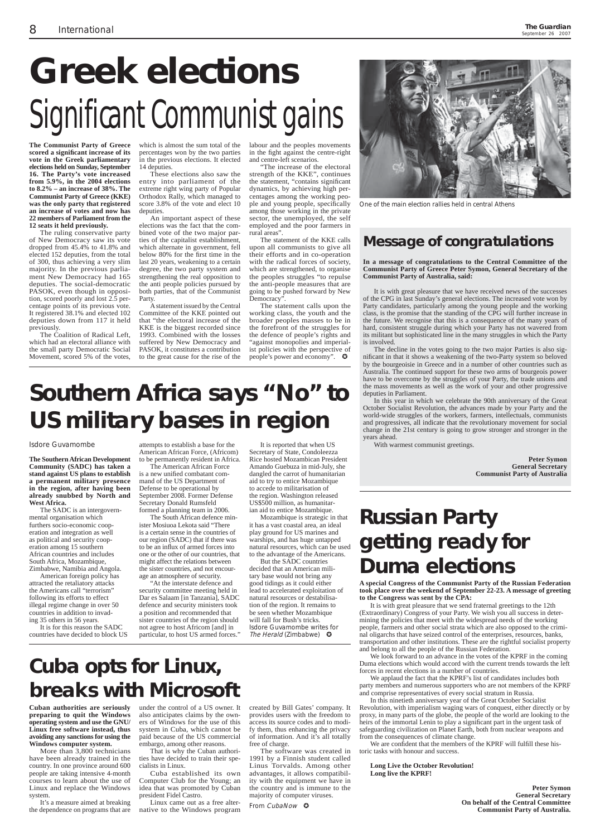**The Communist Party of Greece scored a signifi cant increase of its vote in the Greek parliamentary elections held on Sunday, September 16. The Party's vote increased from 5.9%, in the 2004 elections to 8.2% – an increase of 38%. The Communist Party of Greece (KKE) was the only party that registered an increase of votes and now has 22 members of Parliament from the 12 seats it held previously.**

The ruling conservative party of New Democracy saw its vote dropped from 45.4% to 41.8% and elected 152 deputies, from the total of 300, thus achieving a very slim majority. In the previous parliament New Democracy had 165 deputies. The social-democratic PASOK, even though in opposition, scored poorly and lost 2.5 percentage points of its previous vote. It registered 38.1% and elected 102 deputies down from 117 it held previously.

The Coalition of Radical Left, which had an electoral alliance with the small party Democratic Social Movement, scored 5% of the votes, which is almost the sum total of the percentages won by the two parties in the previous elections. It elected 14 deputies.

These elections also saw the entry into parliament of the extreme right wing party of Popular Orthodox Rally, which managed to score 3.8% of the vote and elect 10 deputies.

An important aspect of these elections was the fact that the combined vote of the two major parties of the capitalist establishment, which alternate in government, fell below 80% for the first time in the last 20 years, weakening to a certain degree, the two party system and strengthening the real opposition to the anti people policies pursued by both parties, that of the Communist Party.

A statement issued by the Central Committee of the KKE pointed out that "the electoral increase of the KKE is the biggest recorded since 1993. Combined with the losses suffered by New Democracy and PASOK, it constitutes a contribution to the great cause for the rise of the labour and the peoples movements in the fight against the centre-right and centre-left scenarios.

"The increase of the electoral strength of the KKE", continues the statement, "contains significant dynamics, by achieving high percentages among the working people and young people, specifically among those working in the private sector, the unemployed, the self employed and the poor farmers in rural areas".

> We are confident that the members of the KPRF will fulfill these historic tasks with honour and success.

The statement of the KKE calls upon all communists to give all their efforts and in co-operation with the radical forces of society, which are strengthened, to organise the peoples struggles "to repulse the anti-people measures that are going to be pushed forward by New Democracy".

More than 3,800 technicians have been already trained in the country. In one province around 600 people are taking intensive 4-month courses to learn about the use of Linux and replace the Windows system.

The statement calls upon the working class, the youth and the broader peoples masses to be in the forefront of the struggles for the defence of people's rights and "against monopolies and imperialist policies with the perspective of people's power and economy".



# **Greek elections** Significant Communist gains

# **Russian Party getting ready for Duma elections**

**A special Congress of the Communist Party of the Russian Federation took place over the weekend of September 22-23. A message of greeting to the Congress was sent by the CPA:**

It is with great pleasure that we send fraternal greetings to the 12th (Extraordinary) Congress of your Party. We wish you all success in determining the policies that meet with the widespread needs of the working people, farmers and other social strata which are also opposed to the criminal oligarchs that have seized control of the enterprises, resources, banks, transportation and other institutions. These are the rightful socialist property and belong to all the people of the Russian Federation.

We look forward to an advance in the votes of the KPRF in the coming

Duma elections which would accord with the current trends towards the left forces in recent elections in a number of countries.

We applaud the fact that the KPRF's list of candidates includes both party members and numerous supporters who are not members of the KPRF and comprise representatives of every social stratum in Russia.

But the SADC countries decided that an American military base would not bring any good tidings as it could either lead to accelerated exploitation of natural resources or destabilisation of the region. It remains to be seen whether Mozambique will fall for Bush's tricks. Isdore Guvamombe writes for The Herald (Zimbabwe)  $\odot$ 

> In this ninetieth anniversary year of the Great October Socialist Revolution, with imperialism waging wars of conquest, either directly or by proxy, in many parts of the globe, the people of the world are looking to the heirs of the immortal Lenin to play a significant part in the urgent task of safeguarding civilization on Planet Earth, both from nuclear weapons and from the consequences of climate change.

**Long Live the October Revolution! Long live the KPRF!** 

> **Peter Symon General Secretary On behalf of the Central Committee Communist Party of Australia.**

# **Cuba opts for Linux, breaks with Microsoft**

**Cuban authorities are seriously preparing to quit the Windows operating system and use the GNU/ Linux free software instead, thus avoiding any sanctions for using the Windows computer system.**

It's a measure aimed at breaking the dependence on programs that are under the control of a US owner. It also anticipates claims by the owners of Windows for the use of this system in Cuba, which cannot be paid because of the US commercial embargo, among other reasons.

That is why the Cuban authorities have decided to train their specialists in Linux.

Cuba established its own Computer Club for the Young; an idea that was promoted by Cuban president Fidel Castro.

Linux came out as a free alternative to the Windows program

created by Bill Gates' company. It provides users with the freedom to access its source codes and to modify them, thus enhancing the privacy of information. And it's all totally free of charge.

The software was created in 1991 by a Finnish student called Linus Torvalds. Among other advantages, it allows compatibility with the equipment we have in the country and is immune to the majority of computer viruses.

From CubaNow  $\odot$ 

Isdore Guvamombe

**The Southern African Development Community (SADC) has taken a stand against US plans to establish a permanent military presence in the region, after having been already snubbed by North and West Africa.**

The SADC is an intergovernmental organisation which furthers socio-economic cooperation and integration as well as political and security cooperation among 15 southern African countries and includes South Africa, Mozambique, Zimbabwe, Namibia and Angola.

American foreign policy has attracted the retaliatory attacks the Americans call "terrorism" following its efforts to effect illegal regime change in over 50 countries in addition to invading 35 others in 56 years.

It is for this reason the SADC countries have decided to block US attempts to establish a base for the American African Force, (Africom) to be permanently resident in Africa.

The American African Force is a new unified combatant command of the US Department of Defense to be operational by September 2008. Former Defense Secretary Donald Rumsfeld formed a planning team in 2006.

The South African defence minister Mosiuoa Lekota said "There is a certain sense in the countries of our region (SADC) that if there was to be an influx of armed forces into one or the other of our countries, that might affect the relations between the sister countries, and not encourage an atmosphere of security.

"At the interstate defence and security committee meeting held in Dar es Salaam [in Tanzania], SADC defence and security ministers took a position and recommended that sister countries of the region should not agree to host Africom [and] in particular, to host US armed forces."

It is reported that when US Secretary of State, Condoleezza Rice hosted Mozambican President Amando Guebuza in mid-July, she dangled the carrot of humanitarian aid to try to entice Mozambique to accede to militarisation of the region. Washington released US\$500 million, as humanitarian aid to entice Mozambique.

Mozambique is strategic in that it has a vast coastal area, an ideal play ground for US marines and warships, and has huge untapped natural resources, which can be used to the advantage of the Americans.

# **Southern Africa says "No" to US military bases in region**

# **Message of congratulations**

**In a message of congratulations to the Central Committee of the Communist Party of Greece Peter Symon, General Secretary of the Communist Party of Australia, said:**

It is with great pleasure that we have received news of the successes of the CPG in last Sunday's general elections. The increased vote won by Party candidates, particularly among the young people and the working class, is the promise that the standing of the CPG will further increase in the future. We recognise that this is a consequence of the many years of hard, consistent struggle during which your Party has not wavered from its militant but sophisticated line in the many struggles in which the Party is involved.

The decline in the votes going to the two major Parties is also significant in that it shows a weakening of the two-Party system so beloved by the bourgeoisie in Greece and in a number of other countries such as Australia. The continued support for these two arms of bourgeois power have to be overcome by the struggles of your Party, the trade unions and the mass movements as well as the work of your and other progressive deputies in Parliament.

In this year in which we celebrate the 90th anniversary of the Great October Socialist Revolution, the advances made by your Party and the world-wide struggles of the workers, farmers, intellectuals, communists and progressives, all indicate that the revolutionary movement for social change in the 21st century is going to grow stronger and stronger in the years ahead.

With warmest communist greetings.

**Peter Symon General Secretary Communist Party of Australia**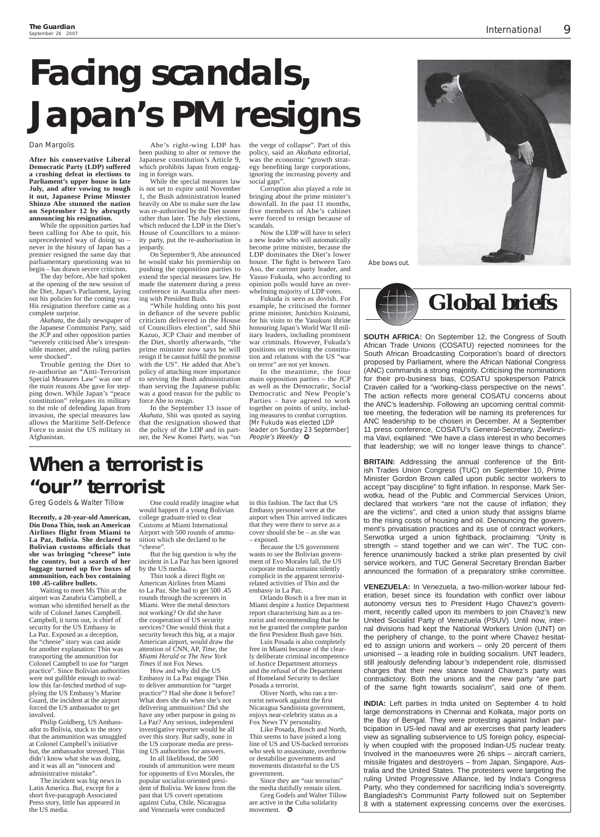#### Dan Margolis

**After his conservative Liberal Democratic Party (LDP) suffered a crushing defeat in elections to Parliament's upper house in late July, and after vowing to tough it out, Japanese Prime Minster Shinzo Abe stunned the nation on September 12 by abruptly announcing his resignation.**

While the opposition parties had been calling for Abe to quit, his unprecedented way of doing so – never in the history of Japan has a premier resigned the same day that parliamentary questioning was to begin – has drawn severe criticism.

The day before, Abe had spoken at the opening of the new session of the Diet, Japan's Parliament, laying out his policies for the coming year. His resignation therefore came as a complete surprise.

*Akahata*, the daily newspaper of the Japanese Communist Party, said the JCP and other opposition parties "severely criticised Abe's irresponsible manner, and the ruling parties were shocked".

Trouble getting the Diet to re-authorise an "Anti-Terrorism Special Measures Law" was one of the main reasons Abe gave for stepping down. While Japan's "peace constitution" relegates its military to the role of defending Japan from invasion, the special measures law allows the Maritime Self-Defence Force to assist the US military in Afghanistan.

Abe's right-wing LDP has been pushing to alter or remove the Japanese constitution's Article 9, which prohibits Japan from engaging in foreign wars.

While the special measures law is not set to expire until November 1, the Bush administration leaned heavily on Abe to make sure the law was re-authorised by the Diet sooner rather than later. The July elections, which reduced the LDP in the Diet's House of Councillors to a minority party, put the re-authorisation in jeopardy.

> In the meantime, the four main opposition parties – the JCP as well as the Democratic, Social Democratic and New People's Parties – have agreed to work together on points of unity, including measures to combat corruption. [Mr Fukuda was elected LDP leader on Sunday 23 September] People's Weekly  $\circledcirc$

On September 9, Abe announced he would stake his premiership on pushing the opposition parties to extend the special measures law. He made the statement during a press conference in Australia after meeting with President Bush.

"While holding onto his post in defiance of the severe public criticism delivered in the House of Councillors election", said Shii Kazuo, JCP Chair and member of the Diet, shortly afterwards, "the prime minister now says he will resign if he cannot fulfill the promise with the US". He added that Abe's policy of attaching more importance to serving the Bush administration than serving the Japanese public was a good reason for the public to force Abe to resign.

In the September 13 issue of *Akahata,* Shii was quoted as saying that the resignation showed that the policy of the LDP and its partner, the New Komei Party, was "on the verge of collapse". Part of this policy, said an *Akahata* editorial, was the economic "growth strategy benefiting large corporations, ignoring the increasing poverty and social gaps".

> **VENEZUELA:** In Venezuela, a two-million-worker labour federation, beset since its foundation with conflict over labour autonomy versus ties to President Hugo Chavez's government, recently called upon its members to join Chavez's new United Socialist Party of Venezuela (PSUV). Until now, internal divisions had kept the National Workers Union (UNT) on the periphery of change, to the point where Chavez hesitated to assign unions and workers – only 20 percent of them unionised – a leading role in building socialism. UNT leaders, still jealously defending labour's independent role, dismissed charges that their new stance toward Chavez's party was contradictory. Both the unions and the new party "are part of the same fight towards socialism", said one of them.

Corruption also played a role in bringing about the prime minister's downfall. In the past 11 months, five members of Abe's cabinet were forced to resign because of scandals.

Now the LDP will have to select a new leader who will automatically become prime minister, because the LDP dominates the Diet's lower house. The fight is between Taro Aso, the current party leader, and Yasuo Fukuda, who according to opinion polls would have an overwhelming majority of LDP votes.

Fukuda is seen as dovish. For example, he criticised the former prime minister, Junichiro Koizumi, for his visits to the Yasukuni shrine honouring Japan's World War II military leaders, including prominent war criminals. However, Fukuda's positions on revising the constitution and relations with the US "war on terror" are not yet known.

> **INDIA:** Left parties in India united on September 4 to hold large demonstrations in Chennai and Kolkata, major ports on the Bay of Bengal. They were protesting against Indian participation in US-led naval and air exercises that party leaders view as signalling subservience to US foreign policy, especially when coupled with the proposed Indian-US nuclear treaty. Involved in the manoeuvres were 26 ships – aircraft carriers, missile frigates and destroyers – from Japan, Singapore, Australia and the United States. The protesters were targeting the ruling United Progressive Alliance, led by India's Congress Party, who they condemned for sacrificing India's sovereignty. Bangladesh's Communist Party followed suit on September 8 with a statement expressing concerns over the exercises.

> **SOUTH AFRICA:** On September 12, the Congress of South African Trade Unions (COSATU) rejected nominees for the South African Broadcasting Corporation's board of directors proposed by Parliament, where the African National Congress (ANC) commands a strong majority. Criticising the nominations for their pro-business bias, COSATU spokesperson Patrick Craven called for a "working-class perspective on the news". The action reflects more general COSATU concerns about the ANC's leadership. Following an upcoming central committee meeting, the federation will be naming its preferences for ANC leadership to be chosen in December. At a September 11 press conference, COSATU's General-Secretary, Zwelinzima Vavi, explained: "We have a class interest in who becomes that leadership; we will no longer leave things to chance".

Thin took a direct flight on American Airlines from Miami to La Paz. She had to get 500 .45 rounds through the screeners in Miami. Were the metal detectors not working? Or did she have the cooperation of US security services? One would think that a security breach this big, at a major American airport, would draw the attention of CNN, AP, *Time*, the *Miami Herald* or *The New York Times* if not Fox News. How and why did the US Embassy in La Paz engage Thin to deliver ammunition for "target practice"? Had she done it before? What does she do when she's not delivering ammunition? Did she have any other purpose in going to La Paz? Any serious, independent investigative reporter would be all over this story. But sadly, none in the US corporate media are pressing US authorities for answers. In all likelihood, the 500 rounds of ammunition were meant for opponents of Evo Morales, the popular socialist-oriented president of Bolivia. We know from the past that US covert operations against Cuba, Chile, Nicaragua and Venezuela were conducted

Orlando Bosch is a free man in Miami despite a Justice Department report characterising him as a terrorist and recommending that he not be granted the complete pardon the first President Bush gave him.

**BRITAIN:** Addressing the annual conference of the British Trades Union Congress (TUC) on September 10, Prime Minister Gordon Brown called upon public sector workers to accept "pay discipline" to fight inflation. In response, Mark Serwotka, head of the Public and Commercial Services Union, declared that workers "are not the cause of inflation; they are the victims", and cited a union study that assigns blame to the rising costs of housing and oil. Denouncing the government's privatisation practices and its use of contract workers, Serwotka urged a union fightback, proclaiming: "Unity is strength – stand together and we can win". The TUC conference unanimously backed a strike plan presented by civil service workers, and TUC General Secretary Brendan Barber announced the formation of a preparatory strike committee.

Luis Posada is also completely free in Miami because of the clearly deliberate criminal incompetene of Justice Department attorneys and the refusal of the Department of Homeland Security to declare Posada a terrorist. Oliver North, who ran a terrorist network against the first Nicaragua Sandinista government, enjoys near-celebrity status as a Fox News TV personality. Like Posada, Bosch and North, Thin seems to have joined a long line of US and US-backed terrorists who seek to assassinate, overthrow or destabilise governments and movements distasteful to the US government. Since they are "our terrorists" the media dutifully remain silent. Greg Godels and Walter Tillow are active in the Cuba solidarity movement.  $\bullet$ 



# **When a terrorist is "our" terrorist**

Greg Godels & Walter Tillow

**Recently, a 20-year-old American, Din Dona Thin, took an American Airlines flight from Miami to La Paz, Bolivia. She declared to Bolivian customs offi cials that she was bringing "cheese" into the country, but a search of her luggage turned up fi ve boxes of ammunition, each box containing 100 .45-calibre bullets.**

Waiting to meet Ms Thin at the airport was Zanabria Campbell, a woman who identified herself as the wife of Colonel James Campbell. Campbell, it turns out, is chief of security for the US Embassy in La Paz. Exposed as a deception, the "cheese" story was cast aside for another explanation: Thin was transporting the ammunition for Colonel Campbell to use for "target practice". Since Bolivian authorities were not gullible enough to swallow this far-fetched method of supplying the US Embassy's Marine Guard, the incident at the airport forced the US ambassador to get involved. Philip Goldberg, US Ambassador to Bolivia, stuck to the story that the ammunition was smuggled at Colonel Campbell's initiative but, the ambassador stressed, Thin didn't know what she was doing, and it was all an "innocent and administrative mistake". The incident was big news in Latin America. But, except for a short five-paragraph Associated Press story, little has appeared in the US media.

One could readily imagine what would happen if a young Bolivian college graduate tried to clear Customs at Miami International Airport with 500 rounds of ammunition which she declared to be "cheese".

But the big question is why the incident in La Paz has been ignored by the US media.

in this fashion. The fact that US Embassy personnel were at the airport when Thin arrived indicates that they were there to serve as a cover should she be – as she was – exposed.

Because the US government wants to see the Bolivian government of Evo Morales fall, the US corporate media remains silently complicit in the apparent terroristrelated activities of Thin and the embassy in La Paz.



# **Facing scandals, Japan's PM resigns**

Abe bows out.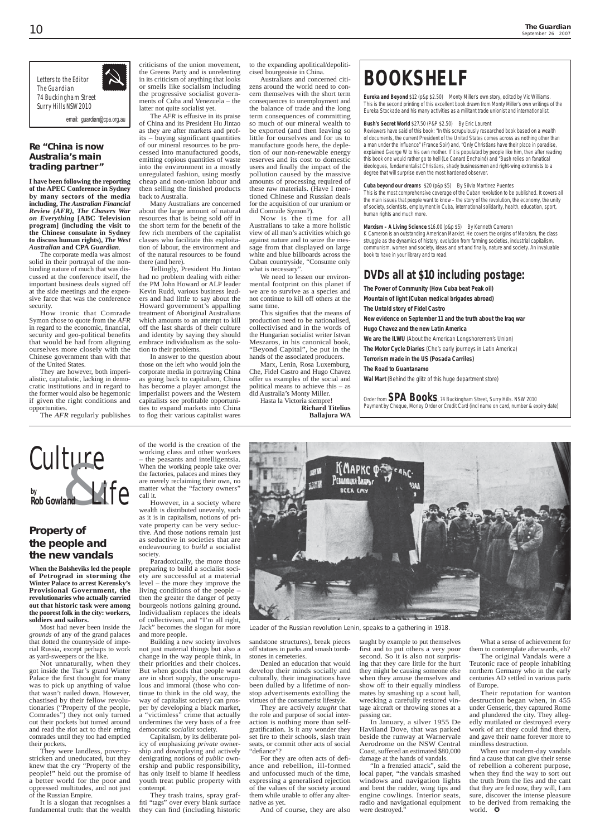## **Re "China is now Australia's main trading partner"**

**I have been following the reporting of the APEC Conference in Sydney by many sectors of the media including,** *The Australian Financial Review (AFR), The Chasers War on Everything* **[ABC Television program] (including the visit to the Chinese consulate in Sydney to discuss human rights),** *The West Australian* **and CPA** *Guardian.*

The corporate media was almost solid in their portrayal of the nonbinding nature of much that was discussed at the conference itself, the important business deals signed off at the side meetings and the expensive farce that was the conference security.

How ironic that Comrade Symon chose to quote from the *AFR* in regard to the economic, financial, security and geo-political benefits that would be had from aligning ourselves more closely with the Chinese government than with that of the United States.

They are however, both imperialistic, capitalistic, lacking in democratic institutions and in regard to the former would also be hegemonic if given the right conditions and opportunities.

The *AFR* regularly publishes

In answer to the question about those on the left who would join the corporate media in portraying China as going back to capitalism, China has become a player amongst the imperialist powers and the Western capitalists see profitable opportunities to expand markets into China to flog their various capitalist wares

criticisms of the union movement, the Greens Party and is unrelenting in its criticism of anything that looks or smells like socialism including the progressive socialist governments of Cuba and Venezuela – the latter not quite socialist yet.

The *AFR* is effusive in its praise of China and its President Hu Jintao as they are after markets and prof $its - buying significant quantities$ of our mineral resources to be processed into manufactured goods, emitting copious quantities of waste into the environment in a mostly unregulated fashion, using mostly cheap and non-union labour and then selling the finished products back to Australia.

Many Australians are concerned about the large amount of natural resources that is being sold off in the short term for the benefit of the few rich members of the capitalist classes who facilitate this exploitation of labour, the environment and of the natural resources to be found there (and here).

> This signifies that the means of production need to be nationalised, collectivised and in the words of the Hungarian socialist writer Istvan Meszaros, in his canonical book, "Beyond Capital", be put in the hands of the associated producers.

Tellingly, President Hu Jintao had no problem dealing with either the PM John Howard or ALP leader Kevin Rudd, various business leaders and had little to say about the Howard government's appalling treatment of Aboriginal Australians which amounts to an attempt to kill off the last shards of their culture and identity by saying they should embrace individualism as the solution to their problems.

to the expanding apolitical/depoliticised bourgeoisie in China.

Australians and concerned citizens around the world need to concern themselves with the short term consequences to unemployment and the balance of trade and the long term consequences of committing so much of our mineral wealth to be exported (and then leaving so little for ourselves and for us to manufacture goods here, the depletion of our non-renewable energy reserves and its cost to domestic users and finally the impact of the pollution caused by the massive amounts of processing required of these raw materials. (Have I mentioned Chinese and Russian deals for the acquisition of our uranium or did Comrade Symon?).

They trash trains, spray graffiti "tags" over every blank surface they can find (including historic

Now is the time for all Australians to take a more holistic view of all man's activities which go against nature and to seize the message from that displayed on large white and blue billboards across the Cuban countryside, "Consume only what is necessary".

They are actively *taught* that the role and purpose of social interaction is nothing more than selfgratification. Is it any wonder they set fire to their schools, slash train seats, or commit other acts of social "defiance"?

We need to lessen our environmental footprint on this planet if we are to survive as a species and not continue to kill off others at the same time.

For they are often acts of defiance and rebellion, ill-formed and unfocussed much of the time, expressing a generalised rejection of the values of the society around them while unable to offer any alternative as yet.

Marx, Lenin, Rosa Luxemburg, Che, Fidel Castro and Hugo Chavez offer us examples of the social and political means to achieve this – as did Australia's Monty Miller.

Hasta la Victoria siempre! **Richard Titelius Ballajura WA**



first and to put others a very poor second. So it is also not surprising that they care little for the hurt they might be causing someone else when they amuse themselves and show off to their equally mindless mates by smashing up a scout hall, wrecking a carefully restored vintage aircraft or throwing stones at a passing car. In January, a silver 1955 De Haviland Dove, that was parked beside the runway at Warnervale Aerodrome on the NSW Central Coast, suffered an estimated \$80,000 damage at the hands of vandals. "In a frenzied attack", said the local paper, "the vandals smashed windows and navigation lights and bent the rudder, wing tips and engine cowlings. Interior seats, radio and navigational equipment were destroyed."

What a sense of achievement for them to contemplate afterwards, eh? The original Vandals were a Teutonic race of people inhabiting northern Germany who in the early centuries AD settled in various parts of Europe. Their reputation for wanton destruction began when, in 455 under Genseric, they captured Rome and plundered the city. They allegedly mutilated or destroyed every work of art they could find there, and gave their name forever more to mindless destruction. When our modern-day vandals find a cause that can give their sense of rebellion a coherent purpose, when they find the way to sort out the truth from the lies and the cant that they are fed now, they will, I am sure, discover the intense pleasure to be derived from remaking the world. **O** 

*The Guardian 74 Buckingham Street Surry Hills NSW 2010*

email: guardian@cpa.org.au

# **Property of the people and the new vandals**

**When the Bolsheviks led the people of Petrograd in storming the Winter Palace to arrest Kerensky's Provisional Government, the revolutionaries who actually carried out that historic task were among the poorest folk in the city: workers, soldiers and sailors.**

Most had never been inside the *grounds* of any of the grand palaces that dotted the countryside of imperial Russia, except perhaps to work as yard-sweepers or the like.

Eureka and Beyond \$12 (p&p \$2.50) Monty Miller's own story, edited by Vic Williams. This is the second printing of this excellent book drawn from Monty Miller's own writings of the Eureka Stockade and his many activities as a militant trade unionist and internationalist.

#### Bush's Secret World \$27.50 (P&P \$2.50) By Eric Laurent

Not unnaturally, when they got inside the Tsar's grand Winter Palace the first thought for many was to pick up anything of value that wasn't nailed down. However, chastised by their fellow revolutionaries ("Property of the people, Comrades") they not only turned out their pockets but turned around and read the riot act to their erring comrades until they too had emptied their pockets.

They were landless, povertystricken and uneducated, but they knew that the cry "Property of the people!" held out the promise of a better world for the poor and oppressed multitudes, and not just of the Russian Empire.

It is a slogan that recognises a fundamental truth: that the wealth *Marxism - A Living Science* \$16.00 (p&p \$5) By Kenneth Cameron K Cameron is an outstanding American Marxist. He covers the origins of Marxism, the class struggle as the dynamics of history, evolution from farming societies, industrial capitalism, communism, women and society, ideas and art and finally, nature and society. An invaluable book to have in your library and to read.

of the world is the creation of the working class and other workers – the peasants and intelligentsia. When the working people take over the factories, palaces and mines they are merely reclaiming their own, no matter what the "factory owners" call it.

Order from **SPA Books**, 74 Buckingham Street, Surry Hills. NSW 2010 Payment by Cheque, Money Order or Credit Card (incl name on card, number & expiry date)

However, in a society where wealth is distributed unevenly, such as it is in capitalism, notions of private property can be very seductive. And those notions remain just as seductive in societies that are endeavouring to *build* a socialist society.

Paradoxically, the more those preparing to build a socialist society are successful at a material level – the more they improve the living conditions of the people – then the greater the danger of petty bourgeois notions gaining ground. Individualism replaces the ideals of collectivism, and "I'm all right, Jack" becomes the slogan for more and more people.

Building a new society involves not just material things but also a change in the way people think, in their priorities and their choices. But when goods that people want are in short supply, the unscrupulous and immoral (those who continue to think in the old way, the way of capitalist society) can prosper by developing a black market, a "victimless" crime that actually undermines the very basis of a free

democratic *socialist* society. Capitalism, by its deliberate policy of emphasizing *private* ownership and downplaying and actively denigrating notions of *public* ownership and public responsibility, has only itself to blame if heedless youth treat public property with contempt.

Denied an education that would develop their minds socially and culturally, their imaginations have been dulled by a lifetime of nonstop advertisements extolling the virtues of the consumerist lifestyle.

And of course, they are also



Leader of the Russian revolution Lenin, speaks to a gathering in 1918.

sandstone structures), break pieces taught by example to put themselves off statues in parks and smash tombin cemeteries.



# **BOOKSHELF**

Reviewers have said of this book: "In this scrupulously researched book based on a wealth of documents, the current President of the United States comes across as nothing other than a man under the influence" (France Soir) and, "Only Christians have their place in paradise, explained George W to his own mother. If it is populated by people like him, then after reading this book one would rather go to hell (Le Canard Enchainé) and "Bush relies on fanatical ideologues, fundamentalist Christians, shady businessmen and right-wing extremists to a degree that will surprise even the most hardened observer.

#### *Cuba beyond our dreams* \$20 (p&p \$5) By Silvia Martinez Puentes

This is the most comprehensive coverage of the Cuban revolution to be published. It covers all the main issues that people want to know – the story of the revolution, the economy, the unity of society, scientists, employment in Cuba, international solidarity, health, education, sport, human rights and much more.

# **DVDs all at \$10 including postage:**

*The Power of Community (How Cuba beat Peak oil) Mountain of light (Cuban medical brigades abroad)*

*The Untold story of Fidel Castro*

*New evidence on September 11 and the truth about the Iraq war*

*Hugo Chavez and the new Latin America*

*We are the ILWU* (About the American Longshoremen's Union)

*The Motor Cycle Diaries* (Che's early journeys in Latin America)

*Terrorism made in the US (Posada Carriles)*

#### *The Road to Guantanamo*

*Wal Mart* (Behind the glitz of this huge department store)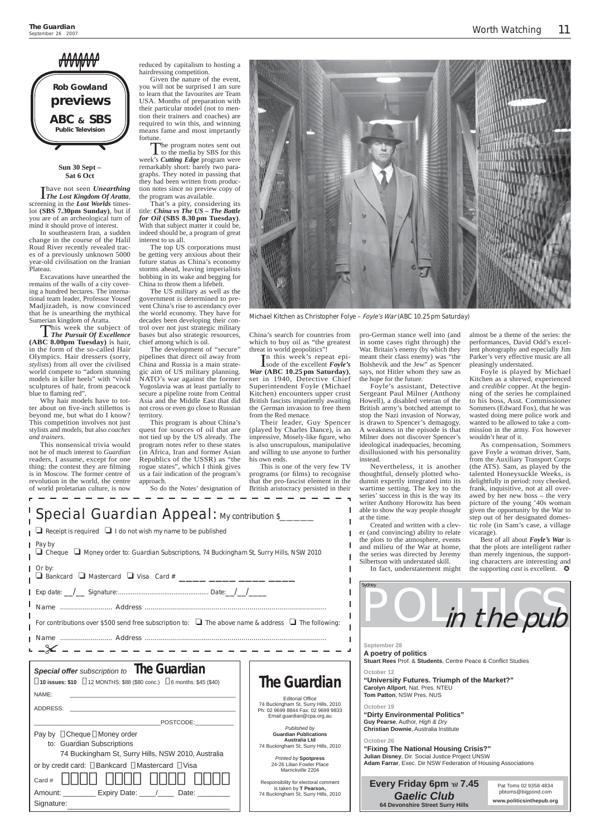**Sun 30 Sept – Sat 6 Oct**

I have not seen *Unearthing The Lost Kingdom Of Aratta*, screening in the *Lost Worlds* timeslot **(SBS 7.30pm Sunday)**, but if you are of an archeological turn of mind it should prove of interest.

This week the subject of *The Pursuit Of Excellence* **(ABC 8.00pm Tuesday)** is hair, in the form of the so-called Hair Olympics. Hair dressers (sorry, *stylists*) from all over the civilised world compete to "adorn stunning models in killer heels" with "vivid sculptures of hair, from peacock blue to flaming red".

In southeastern Iran, a sudden change in the course of the Halil Roud River recently revealed traces of a previously unknown 5000 year-old civilisation on the Iranian Plateau.

Excavations have unearthed the remains of the walls of a city covering a hundred hectares. The international team leader, Professor Yousef Madjizadeh, is now convinced that he is unearthing the mythical Sumerian kingdom of Aratta.

The program notes sent out<br>to the media by SBS for this week's *Cutting Edge* program were remarkably short: barely two paragraphs. They noted in passing that they had been written from production notes since no preview copy of the program was available.

Why hair models have to totter about on five-inch stillettos is beyond me, but what do I know? This competition involves not just stylists and models, but also *coaches and trainers*.

This nonsensical trivia would not be of much interest to *Guardian*  readers, I assume, except for one thing: the contest they are filming is in Moscow. The former centre of revolution in the world, the centre of world proletarian culture, is now

reduced by capitalism to hosting a hairdressing competition. Given the nature of the event,

The development of "secure" pipelines that direct oil away from China and Russia is a main strategic aim of US military planning. NATO's war against the former Yugoslavia was at least partially to secure a pipeline route from Central Asia and the Middle East that did not cross or even go close to Russian territory.

you will not be surprised I am sure to learn that the favourites are Team USA. Months of preparation with their particular model (not to mention their trainers and coaches) are required to win this, and winning means fame and most imprtantly fortune.

In this week's repeat epi-<br>
Sode of the excellent *Foyle's War* **(ABC 10.25 pm Saturday)**, set in 1940, Detective Chief Superintendent Foyle (Michael Kitchen) encounters upper crust British fascists impatiently awaiting the German invasion to free them from the Red menace.

That's a pity, considering its title: *China vs The US – The Battle for Oil* **(SBS 8.30 pm Tuesday)**. With that subject matter it could be, indeed should be, a program of great interest to us all.

The top US corporations must be getting very anxious about their future status as China's economy storms ahead, leaving imperialists bobbing in its wake and begging for China to throw them a lifebelt.

The US military as well as the government is determined to prevent China's rise to ascendancy over the world economy. They have for decades been developing their control over not just strategic military bases but also strategic resources, chief among which is oil.

This program is about China's quest for sources of oil that are not tied up by the US already. The program notes refer to these states (in Africa, Iran and former Asian Republics of the USSR) as "the rogue states", which I think gives us a fair indication of the program's approach.

**Stuart Rees** Prof. & Students, Centre Peace & Conflict Studies

So do the Notes' designation of

China's search for countries from which to buy oil as "the greatest threat in world geopolitics"!

n this week's repeat epi-

Their leader, Guy Spencer (played by Charles Dance), is an impressive, Mosely-like figure, who is also unscrupulous, manipulative and willing to use anyone to further his own ends.

This is one of the very few TV programs (or films) to recognise that the pro-fascist element in the British aristocracy persisted in their

pro-German stance well into (and in some cases right through) the War. Britain's enemy (by which they meant their class enemy) was "the Bolshevik and the Jew" as Spencer says, not Hitler whom they saw as the hope for the future.

Foyle's assistant, Detective Sergeant Paul Milner (Anthony Howell), a disabled veteran of the British army's botched attempt to stop the Nazi invasion of Norway, is drawn to Spencer's demagogy. A weakness in the episode is that Milner does not discover Spencer's ideological inadequacies, becoming disillusioned with his personality instead.

Nevertheless, it is another thoughtful, densely plotted whodunnit expertly integrated into its wartime setting. The key to the series' success in this is the way its writer Anthony Horowitz has been able to show the way people *thought* at the time.

Created and written with a clever (and convincing) ability to relate the plots to the atmosphere, events and milieu of the War at home, the series was directed by Jeremy Silbertson with understated skill.

In fact, understatement might

almost be a theme of the series: the performances, David Odd's excellent photography and especially Jim Parker's very effective music are all pleasingly understated.

Foyle is played by Michael Kitchen as a shrewd, experienced and *credible* copper. At the beginning of the series he complained to his boss, Asst. Commissioner Sommers (Edward Fox), that he was wasted doing mere police work and wanted to be allowed to take a commission in the army. Fox however wouldn't hear of it.

As compensation, Sommers gave Foyle a woman driver, Sam, from the Auxiliary Transport Corps (the ATS). Sam, as played by the talented Honeysuckle Weeks, is delightfully in period: rosy cheeked, frank, inquisitive, not at all overawed by her new boss – the very picture of the young '40s woman given the opportunity by the War to step out of her designated domestic role (in Sam's case, a village vicarage).

Best of all about *Foyle's War* is that the plots are intelligent rather than merely ingenious, the supporting characters are interesting and the supporting *cast* is excellent.

**October 12**

**"University Futures. Triumph of the Market?" Carolyn Allport**, Nat. Pres. NTEU **Tom Patton**, NSW Pres. NUS

**October 19**



Special Guardian Appeal: My contribution \$

| $\Box$ Receipt is required $\Box$ I do not wish my name to be published                                                                        |                                                                                                       |
|------------------------------------------------------------------------------------------------------------------------------------------------|-------------------------------------------------------------------------------------------------------|
| Pay by<br>□ Cheque □ Money order to: Guardian Subscriptions, 74 Buckingham St, Surry Hills, NSW 2010                                           |                                                                                                       |
| Or by:<br>□ Bankcard □ Mastercard □ Visa Card # ____ ___ ___ ___ ___                                                                           |                                                                                                       |
|                                                                                                                                                |                                                                                                       |
|                                                                                                                                                |                                                                                                       |
| For contributions over \$500 send free subscription to: $\Box$ The above name & address $\Box$ The following:                                  |                                                                                                       |
|                                                                                                                                                |                                                                                                       |
|                                                                                                                                                |                                                                                                       |
| Special offer subscription to The Guardian<br>$\Box$ 10 issues: \$10 $\Box$ 12 MONTHS: \$88 (\$80 conc.) $\Box$ 6 months: \$45 (\$40)<br>NAME: | The Guardian<br><b>Editorial Office</b>                                                               |
| ADDRESS:                                                                                                                                       | 74 Buckingham St, Surry Hills, 2010<br>Ph: 02 9699 8844 Fax: 02 9699 983                              |
|                                                                                                                                                | Email:guardian@cpa.org.au                                                                             |
| Pay by □ Cheque □ Money order<br>to: Guardian Subscriptions<br>74 Buckingham St, Surry Hills, NSW 2010, Australia                              | Published by<br><b>Guardian Publications</b><br>Australia Ltd<br>74 Buckingham St, Surry Hills, 2010  |
| or by credit card: □ Bankcard □ Mastercard □ Visa                                                                                              | <b>Printed by Spotpress</b><br>24-26 Lilian Fowler Place<br>Marrickville 2204                         |
| Card #<br>Amount: ___________ Expiry Date: ____/______ Date: _________<br>Signature:                                                           | Responsibility for electoral comment<br>is taken by T Pearson,<br>74 Buckingham St, Surry Hills, 2010 |

**"Dirty Environmental Politics" Guy Pearse**, Author, *High & Dry* **Christian Downie**, Australia Institute

#### **October 26**

**"Fixing The National Housing Crisis?" Julian Disney**, Dir. Social Justice Project UNSW **Adam Farrar**, Exec. Dir NSW Federation of Housing Associations

**Every Friday 6pm '***til* **7.45** *Gaelic Club* **64 Devonshire Street Surry Hills**

Pat Toms 02 9358 4834 pbtoms@bigpond.com

**www.politicsinthepub.org**



Michael Kitchen as Christopher Folye – Foyle's War (ABC 10.25 pm Saturday)